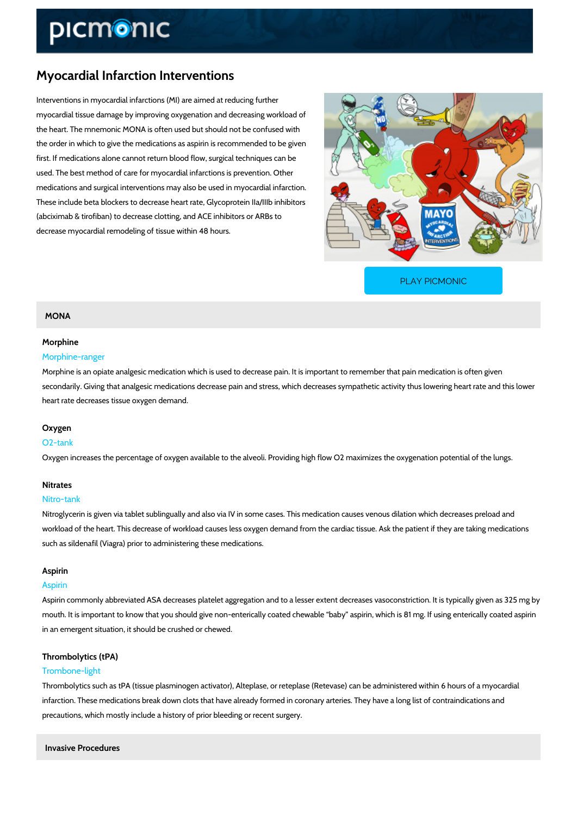# Myocardial Infarction Interventions

Interventions in myocardial infarctions (MI) are aimed at reducing further myocardial tissue damage by improving oxygenation and decreasing workload of the heart. The mnemonic MONA is often used but should not be confused with the order in which to give the medications as aspirin is recommended to be given first. If medications alone cannot return blood flow, surgical techniques can be used. The best method of care for myocardial infarctions is prevention. Other medications and surgical interventions may also be used in myocardial infarction. These include beta blockers to decrease heart rate, Glycoprotein IIa/IIIb inhibitors (abciximab & tirofiban) to decrease clotting, and ACE inhibitors or ARBs to decrease myocardial remodeling of tissue within 48 hours.

[PLAY PICMONIC](https://www.picmonic.com/learn/myocardial-infarction-interventions_1725?utm_source=downloadable_content&utm_medium=distributedcontent&utm_campaign=pathways_pdf&utm_content=Myocardial Infarction Interventions&utm_ad_group=leads&utm_market=all)

# MONA

## Morphine

# Morphine-ranger

Morphine is an opiate analgesic medication which is used to decrease pain. It is important to secondarily. Giving that analgesic medications decrease pain and stress, which decreases syr heart rate decreases tissue oxygen demand.

#### Oxygen

#### O2-tank

Oxygen increases the percentage of oxygen available to the alveoli. Providing high flow O2 m

# Nitrates

#### Nitro-tank

Nitroglycerin is given via tablet sublingually and also via IV in some cases. This medication c workload of the heart. This decrease of workload causes less oxygen demand from the cardiac such as sildenafil (Viagra) prior to administering these medications.

# Aspirin

#### Aspirin

Aspirin commonly abbreviated ASA decreases platelet aggregation and to a lesser extent decr mouth. It is important to know that you should give non-enterically coated chewable baby as in an emergent situation, it should be crushed or chewed.

# Thrombolytics (tPA)

# Trombone-light

Thrombolytics such as tPA (tissue plasminogen activator), Alteplase, or reteplase (Retevase) infarction. These medications break down clots that have already formed in coronary arteries. precautions, which mostly include a history of prior bleeding or recent surgery.

Invasive Procedures